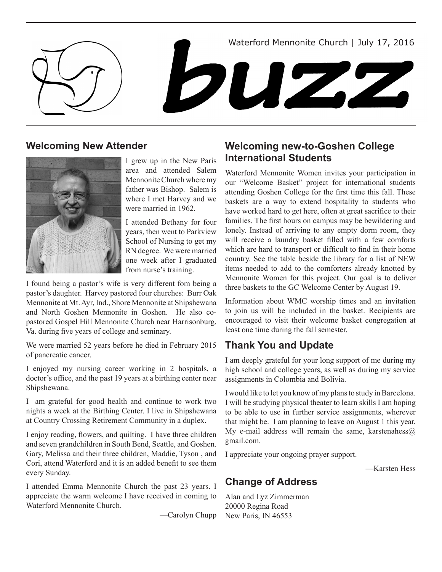Waterford Mennonite Church | July 17, 2016





# **Welcoming New Attender**



I grew up in the New Paris area and attended Salem Mennonite Church where my father was Bishop. Salem is where I met Harvey and we were married in 1962.

I attended Bethany for four years, then went to Parkview School of Nursing to get my RN degree. We were married one week after I graduated from nurse's training.

I found being a pastor's wife is very different fom being a pastor's daughter. Harvey pastored four churches: Burr Oak Mennonite at Mt. Ayr, Ind., Shore Mennonite at Shipshewana and North Goshen Mennonite in Goshen. He also copastored Gospel Hill Mennonite Church near Harrisonburg, Va. during five years of college and seminary.

We were married 52 years before he died in February 2015 of pancreatic cancer.

I enjoyed my nursing career working in 2 hospitals, a doctor's office, and the past 19 years at a birthing center near Shipshewana.

I am grateful for good health and continue to work two nights a week at the Birthing Center. I live in Shipshewana at Country Crossing Retirement Community in a duplex.

I enjoy reading, flowers, and quilting. I have three children and seven grandchildren in South Bend, Seattle, and Goshen. Gary, Melissa and their three children, Maddie, Tyson , and Cori, attend Waterford and it is an added benefit to see them every Sunday.

I attended Emma Mennonite Church the past 23 years. I appreciate the warm welcome I have received in coming to Waterford Mennonite Church.

—Carolyn Chupp

# **Welcoming new-to-Goshen College International Students**

Waterford Mennonite Women invites your participation in our "Welcome Basket" project for international students attending Goshen College for the first time this fall. These baskets are a way to extend hospitality to students who have worked hard to get here, often at great sacrifice to their families. The first hours on campus may be bewildering and lonely. Instead of arriving to any empty dorm room, they will receive a laundry basket filled with a few comforts which are hard to transport or difficult to find in their home country. See the table beside the library for a list of NEW items needed to add to the comforters already knotted by Mennonite Women for this project. Our goal is to deliver three baskets to the GC Welcome Center by August 19.

Information about WMC worship times and an invitation to join us will be included in the basket. Recipients are encouraged to visit their welcome basket congregation at least one time during the fall semester.

# **Thank You and Update**

I am deeply grateful for your long support of me during my high school and college years, as well as during my service assignments in Colombia and Bolivia.

I would like to let you know of my plans to study in Barcelona. I will be studying physical theater to learn skills I am hoping to be able to use in further service assignments, wherever that might be. I am planning to leave on August 1 this year. My e-mail address will remain the same, karstenahess $@$ gmail.com.

I appreciate your ongoing prayer support.

—Karsten Hess

# **Change of Address**

Alan and Lyz Zimmerman 20000 Regina Road New Paris, IN 46553